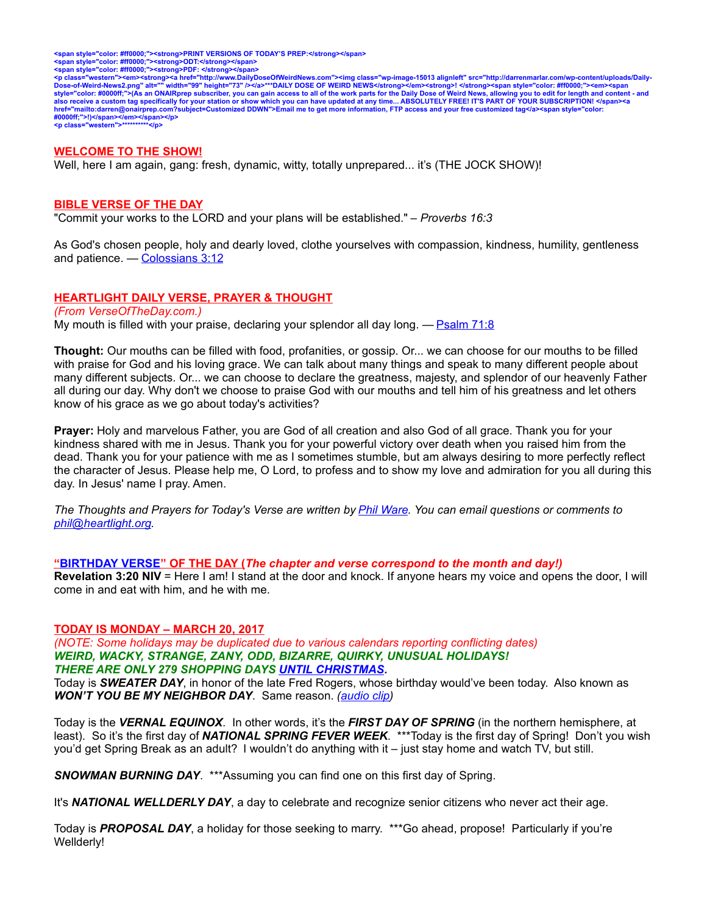<span style="color: #ff0000;"><strong>PRINT VERSIONS OF TODAY'S PREP:</strong></span><br><span style="color: #ff0000;"><strong>ODT:</strong></span><br><span style="color: #ff0000;"><strong>PDF: </strong></span>

<p class="western"><em><strong><a href="http://www.DailyDoseOfWeirdNews.com"><img class="wp-image-15013 alignleft" src="http://darrenmarlar.com/wp-content/uploads/Daily-<br>Dose-of-Weird-News2.png" alt="" width="99" height=" **#0000ff;">!)</span></em></span></p> <p class="western">\*\*\*\*\*\*\*\*\*\*</p>**

#### **WELCOME TO THE SHOW!**

Well, here I am again, gang: fresh, dynamic, witty, totally unprepared... it's (THE JOCK SHOW)!

#### **BIBLE VERSE OF THE DAY**

"Commit your works to the LORD and your plans will be established." *– Proverbs 16:3*

As God's chosen people, holy and dearly loved, clothe yourselves with compassion, kindness, humility, gentleness and patience. — [Colossians 3:12](http://www.BibleStudyTools.com/search/?query=Colossians+3:12&t=niv)

### **HEARTLIGHT DAILY VERSE, PRAYER & THOUGHT**

*(From VerseOfTheDay.com.)*

My mouth is filled with your praise, declaring your splendor all day long.  $-$  Psalm  $71:8$ 

**Thought:** Our mouths can be filled with food, profanities, or gossip. Or... we can choose for our mouths to be filled with praise for God and his loving grace. We can talk about many things and speak to many different people about many different subjects. Or... we can choose to declare the greatness, majesty, and splendor of our heavenly Father all during our day. Why don't we choose to praise God with our mouths and tell him of his greatness and let others know of his grace as we go about today's activities?

**Prayer:** Holy and marvelous Father, you are God of all creation and also God of all grace. Thank you for your kindness shared with me in Jesus. Thank you for your powerful victory over death when you raised him from the dead. Thank you for your patience with me as I sometimes stumble, but am always desiring to more perfectly reflect the character of Jesus. Please help me, O Lord, to profess and to show my love and admiration for you all during this day. In Jesus' name I pray. Amen.

*The Thoughts and Prayers for Today's Verse are written by [Phil Ware.](mailto:phil@heartlight.org) You can email questions or comments to [phil@heartlight.org.](mailto:phil@heartlight.org)*

### **["BIRTHDAY VERSE"](http://67.59.170.133/) OF THE DAY (***The chapter and verse correspond to the month and day!)*

**Revelation 3:20 NIV** = Here I am! I stand at the door and knock. If anyone hears my voice and opens the door, I will come in and eat with him, and he with me.

### **TODAY IS MONDAY – MARCH 20, 2017**

*(NOTE: Some holidays may be duplicated due to various calendars reporting conflicting dates) WEIRD, WACKY, STRANGE, ZANY, ODD, BIZARRE, QUIRKY, UNUSUAL HOLIDAYS! THERE ARE ONLY 279 SHOPPING DAYS [UNTIL CHRISTMAS.](http://days.to/until/christmas)*

Today is *SWEATER DAY*, in honor of the late Fred Rogers, whose birthday would've been today. Also known as *WON'T YOU BE MY NEIGHBOR DAY*. Same reason. *[\(audio clip\)](http://www.darrenmarlar.com/audio/TV-MisterRogers.mp3)*

Today is the *VERNAL EQUINOX*. In other words, it's the *FIRST DAY OF SPRING* (in the northern hemisphere, at least). So it's the first day of *NATIONAL SPRING FEVER WEEK*. \*\*\*Today is the first day of Spring! Don't you wish you'd get Spring Break as an adult? I wouldn't do anything with it – just stay home and watch TV, but still.

*SNOWMAN BURNING DAY*. \*\*\*Assuming you can find one on this first day of Spring.

It's *NATIONAL WELLDERLY DAY*, a day to celebrate and recognize senior citizens who never act their age.

Today is *PROPOSAL DAY*, a holiday for those seeking to marry. \*\*\*Go ahead, propose! Particularly if you're Wellderly!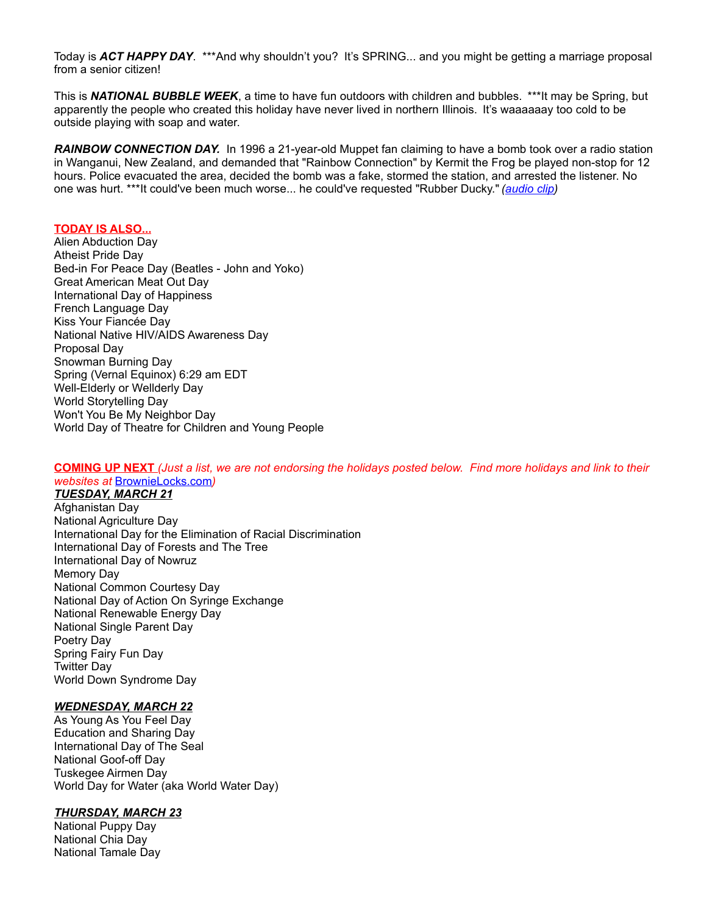Today is *ACT HAPPY DAY*. \*\*\*And why shouldn't you? It's SPRING... and you might be getting a marriage proposal from a senior citizen!

This is *NATIONAL BUBBLE WEEK*, a time to have fun outdoors with children and bubbles. \*\*\*It may be Spring, but apparently the people who created this holiday have never lived in northern Illinois. It's waaaaaay too cold to be outside playing with soap and water.

*RAINBOW CONNECTION DAY.* In 1996 a 21-year-old Muppet fan claiming to have a bomb took over a radio station in Wanganui, New Zealand, and demanded that "Rainbow Connection" by Kermit the Frog be played non-stop for 12 hours. Police evacuated the area, decided the bomb was a fake, stormed the station, and arrested the listener. No one was hurt. \*\*\*It could've been much worse... he could've requested "Rubber Ducky." *[\(audio clip\)](http://www.darrenmarlar.com/audio/RubberDucky-SesameStreetErnie.mp3)*

### **TODAY IS ALSO...**

Alien Abduction Day Atheist Pride Day Bed-in For Peace Day (Beatles - John and Yoko) Great American Meat Out Day International Day of Happiness French Language Day Kiss Your Fiancée Day National Native HIV/AIDS Awareness Day Proposal Day Snowman Burning Day Spring (Vernal Equinox) 6:29 am EDT Well-Elderly or Wellderly Day World Storytelling Day Won't You Be My Neighbor Day World Day of Theatre for Children and Young People

**COMING UP NEXT** *(Just a list, we are not endorsing the holidays posted below. Find more holidays and link to their websites at* [BrownieLocks.com](https://www.brownielocks.com/month2.html)*)*

# *TUESDAY, MARCH 21* Afghanistan Day National Agriculture Day International Day for the Elimination of Racial Discrimination International Day of Forests and The Tree International Day of Nowruz Memory Day National Common Courtesy Day National Day of Action On Syringe Exchange National Renewable Energy Day National Single Parent Day Poetry Day Spring Fairy Fun Day

Twitter Day World Down Syndrome Day

### *WEDNESDAY, MARCH 22*

As Young As You Feel Day Education and Sharing Day International Day of The Seal National Goof-off Day Tuskegee Airmen Day World Day for Water (aka World Water Day)

### *THURSDAY, MARCH 23*

National Puppy Day National Chia Day National Tamale Day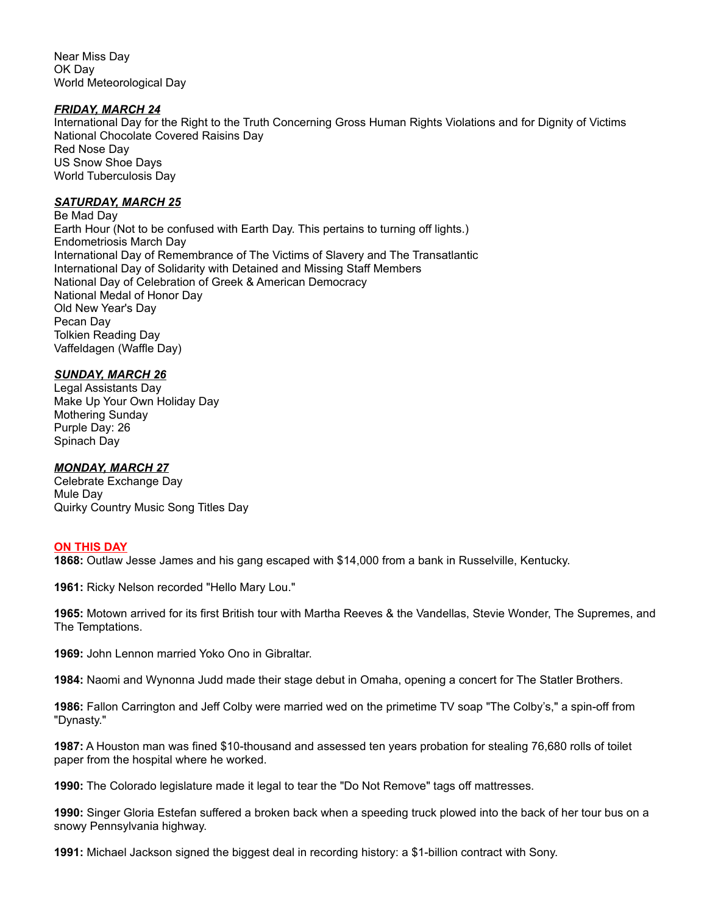Near Miss Day OK Day World Meteorological Day

### *FRIDAY, MARCH 24*

International Day for the Right to the Truth Concerning Gross Human Rights Violations and for Dignity of Victims National Chocolate Covered Raisins Day Red Nose Day US Snow Shoe Days World Tuberculosis Day

## *SATURDAY, MARCH 25*

Be Mad Day Earth Hour (Not to be confused with Earth Day. This pertains to turning off lights.) Endometriosis March Day International Day of Remembrance of The Victims of Slavery and The Transatlantic International Day of Solidarity with Detained and Missing Staff Members National Day of Celebration of Greek & American Democracy National Medal of Honor Day Old New Year's Day Pecan Day Tolkien Reading Day Vaffeldagen (Waffle Day)

## *SUNDAY, MARCH 26*

Legal Assistants Day Make Up Your Own Holiday Day Mothering Sunday Purple Day: 26 Spinach Day

### *MONDAY, MARCH 27*

Celebrate Exchange Day Mule Day Quirky Country Music Song Titles Day

### **ON THIS DAY**

**1868:** Outlaw Jesse James and his gang escaped with \$14,000 from a bank in Russelville, Kentucky.

**1961:** Ricky Nelson recorded "Hello Mary Lou."

**1965:** Motown arrived for its first British tour with Martha Reeves & the Vandellas, Stevie Wonder, The Supremes, and The Temptations.

**1969:** John Lennon married Yoko Ono in Gibraltar.

**1984:** Naomi and Wynonna Judd made their stage debut in Omaha, opening a concert for The Statler Brothers.

**1986:** Fallon Carrington and Jeff Colby were married wed on the primetime TV soap "The Colby's," a spin-off from "Dynasty."

**1987:** A Houston man was fined \$10-thousand and assessed ten years probation for stealing 76,680 rolls of toilet paper from the hospital where he worked.

**1990:** The Colorado legislature made it legal to tear the "Do Not Remove" tags off mattresses.

**1990:** Singer Gloria Estefan suffered a broken back when a speeding truck plowed into the back of her tour bus on a snowy Pennsylvania highway.

**1991:** Michael Jackson signed the biggest deal in recording history: a \$1-billion contract with Sony.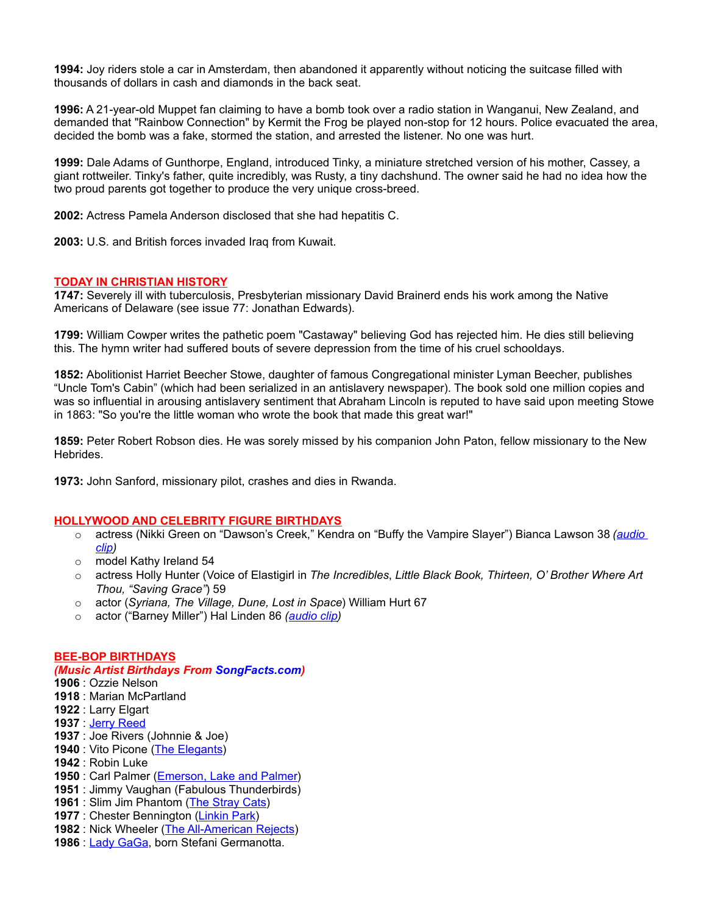**1994:** Joy riders stole a car in Amsterdam, then abandoned it apparently without noticing the suitcase filled with thousands of dollars in cash and diamonds in the back seat.

**1996:** A 21-year-old Muppet fan claiming to have a bomb took over a radio station in Wanganui, New Zealand, and demanded that "Rainbow Connection" by Kermit the Frog be played non-stop for 12 hours. Police evacuated the area, decided the bomb was a fake, stormed the station, and arrested the listener. No one was hurt.

**1999:** Dale Adams of Gunthorpe, England, introduced Tinky, a miniature stretched version of his mother, Cassey, a giant rottweiler. Tinky's father, quite incredibly, was Rusty, a tiny dachshund. The owner said he had no idea how the two proud parents got together to produce the very unique cross-breed.

**2002:** Actress Pamela Anderson disclosed that she had hepatitis C.

**2003:** U.S. and British forces invaded Iraq from Kuwait.

### **TODAY IN CHRISTIAN HISTORY**

**1747:** Severely ill with tuberculosis, Presbyterian missionary David Brainerd ends his work among the Native Americans of Delaware (see issue 77: Jonathan Edwards).

**1799:** William Cowper writes the pathetic poem "Castaway" believing God has rejected him. He dies still believing this. The hymn writer had suffered bouts of severe depression from the time of his cruel schooldays.

**1852:** Abolitionist Harriet Beecher Stowe, daughter of famous Congregational minister Lyman Beecher, publishes "Uncle Tom's Cabin" (which had been serialized in an antislavery newspaper). The book sold one million copies and was so influential in arousing antislavery sentiment that Abraham Lincoln is reputed to have said upon meeting Stowe in 1863: "So you're the little woman who wrote the book that made this great war!"

**1859:** Peter Robert Robson dies. He was sorely missed by his companion John Paton, fellow missionary to the New Hebrides.

**1973:** John Sanford, missionary pilot, crashes and dies in Rwanda.

### **HOLLYWOOD AND CELEBRITY FIGURE BIRTHDAYS**

- o actress (Nikki Green on "Dawson's Creek," Kendra on "Buffy the Vampire Slayer") Bianca Lawson 38 *[\(audio](http://www.darrenmarlar.com/audio/TV-DawsonsCreek.mp3)  [clip\)](http://www.darrenmarlar.com/audio/TV-DawsonsCreek.mp3)*
- o model Kathy Ireland 54
- o actress Holly Hunter (Voice of Elastigirl in *The Incredibles*, *Little Black Book, Thirteen, O' Brother Where Art Thou, "Saving Grace"*) 59
- o actor (*Syriana, The Village, Dune, Lost in Space*) William Hurt 67
- o actor ("Barney Miller") Hal Linden 86 *[\(audio clip\)](http://www.darrenmarlar.com/audio/TV-BarneyMiller.mp3)*

### **BEE-BOP BIRTHDAYS**

#### *(Music Artist Birthdays From [SongFacts.com\)](http://calendar.songfacts.com/)*

- **1906** : Ozzie Nelson
- **1918** : Marian McPartland
- **1922** : Larry Elgart
- **1937** : [Jerry Reed](http://www.songfacts.com/search_fact.php?combinedartists=Jerry+Reed)
- **1937** : Joe Rivers (Johnnie & Joe)
- **1940** : Vito Picone [\(The Elegants\)](http://www.songfacts.com/search_fact.php?combinedartists=The%20Elegants)
- **1942** : Robin Luke
- **1950** : Carl Palmer [\(Emerson, Lake and Palmer\)](http://www.artistfacts.com/detail.php?id=144)
- **1951** : Jimmy Vaughan (Fabulous Thunderbirds)
- **1961** : Slim Jim Phantom [\(The Stray Cats\)](http://www.songfacts.com/search_fact.php?combinedartists=Stray+Cats)
- **1977** : Chester Bennington [\(Linkin Park\)](http://www.artistfacts.com/detail.php?id=104)
- **1982** : Nick Wheeler [\(The All-American Rejects\)](http://www.songfacts.com/search_fact.php?combinedartists=The+All-American+Rejects)
- **1986** : [Lady GaGa,](http://www.artistfacts.com/detail.php?id=1886) born Stefani Germanotta.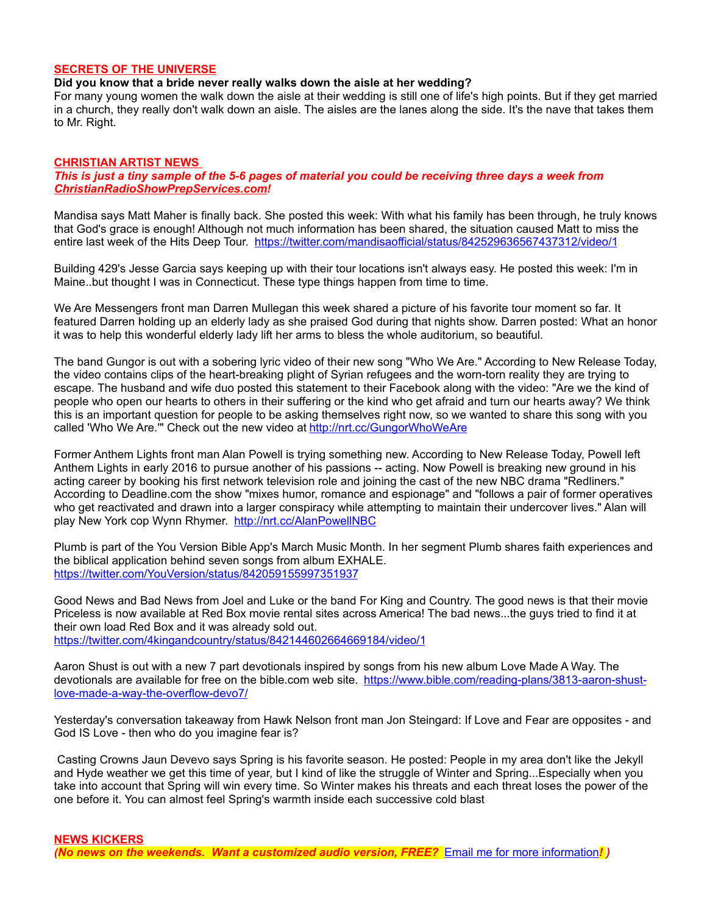## **SECRETS OF THE UNIVERSE**

### **Did you know that a bride never really walks down the aisle at her wedding?**

For many young women the walk down the aisle at their wedding is still one of life's high points. But if they get married in a church, they really don't walk down an aisle. The aisles are the lanes along the side. It's the nave that takes them to Mr. Right.

### **CHRISTIAN ARTIST NEWS**

*This is just a tiny sample of the 5-6 pages of material you could be receiving three days a week from [ChristianRadioShowPrepServices.com!](http://www.christianradioshowprepservices.com/)*

Mandisa says Matt Maher is finally back. She posted this week: With what his family has been through, he truly knows that God's grace is enough! Although not much information has been shared, the situation caused Matt to miss the entire last week of the Hits Deep Tour. <https://twitter.com/mandisaofficial/status/842529636567437312/video/1>

Building 429's Jesse Garcia says keeping up with their tour locations isn't always easy. He posted this week: I'm in Maine..but thought I was in Connecticut. These type things happen from time to time.

We Are Messengers front man Darren Mullegan this week shared a picture of his favorite tour moment so far. It featured Darren holding up an elderly lady as she praised God during that nights show. Darren posted: What an honor it was to help this wonderful elderly lady lift her arms to bless the whole auditorium, so beautiful.

The band Gungor is out with a sobering lyric video of their new song "Who We Are." According to New Release Today, the video contains clips of the heart-breaking plight of Syrian refugees and the worn-torn reality they are trying to escape. The husband and wife duo posted this statement to their Facebook along with the video: "Are we the kind of people who open our hearts to others in their suffering or the kind who get afraid and turn our hearts away? We think this is an important question for people to be asking themselves right now, so we wanted to share this song with you called 'Who We Are.'" Check out the new video at<http://nrt.cc/GungorWhoWeAre>

Former Anthem Lights front man Alan Powell is trying something new. According to New Release Today, Powell left Anthem Lights in early 2016 to pursue another of his passions -- acting. Now Powell is breaking new ground in his acting career by booking his first network television role and joining the cast of the new NBC drama "Redliners." According to Deadline.com the show "mixes humor, romance and espionage" and "follows a pair of former operatives who get reactivated and drawn into a larger conspiracy while attempting to maintain their undercover lives." Alan will play New York cop Wynn Rhymer. <http://nrt.cc/AlanPowellNBC>

Plumb is part of the You Version Bible App's March Music Month. In her segment Plumb shares faith experiences and the biblical application behind seven songs from album EXHALE. <https://twitter.com/YouVersion/status/842059155997351937>

Good News and Bad News from Joel and Luke or the band For King and Country. The good news is that their movie Priceless is now available at Red Box movie rental sites across America! The bad news...the guys tried to find it at their own load Red Box and it was already sold out. <https://twitter.com/4kingandcountry/status/842144602664669184/video/1>

Aaron Shust is out with a new 7 part devotionals inspired by songs from his new album Love Made A Way. The devotionals are available for free on the bible.com web site. [https://www.bible.com/reading-plans/3813-aaron-shust](https://www.bible.com/reading-plans/3813-aaron-shust-love-made-a-way-the-overflow-devo7/)[love-made-a-way-the-overflow-devo7/](https://www.bible.com/reading-plans/3813-aaron-shust-love-made-a-way-the-overflow-devo7/)

Yesterday's conversation takeaway from Hawk Nelson front man Jon Steingard: If Love and Fear are opposites - and God IS Love - then who do you imagine fear is?

 Casting Crowns Jaun Devevo says Spring is his favorite season. He posted: People in my area don't like the Jekyll and Hyde weather we get this time of year, but I kind of like the struggle of Winter and Spring...Especially when you take into account that Spring will win every time. So Winter makes his threats and each threat loses the power of the one before it. You can almost feel Spring's warmth inside each successive cold blast

**NEWS KICKERS** *(No news on the weekends. Want a customized audio version, FREE?* [Email me for more information](mailto:darren@onairprep.com?subject=Customized%20DDWN)*! )*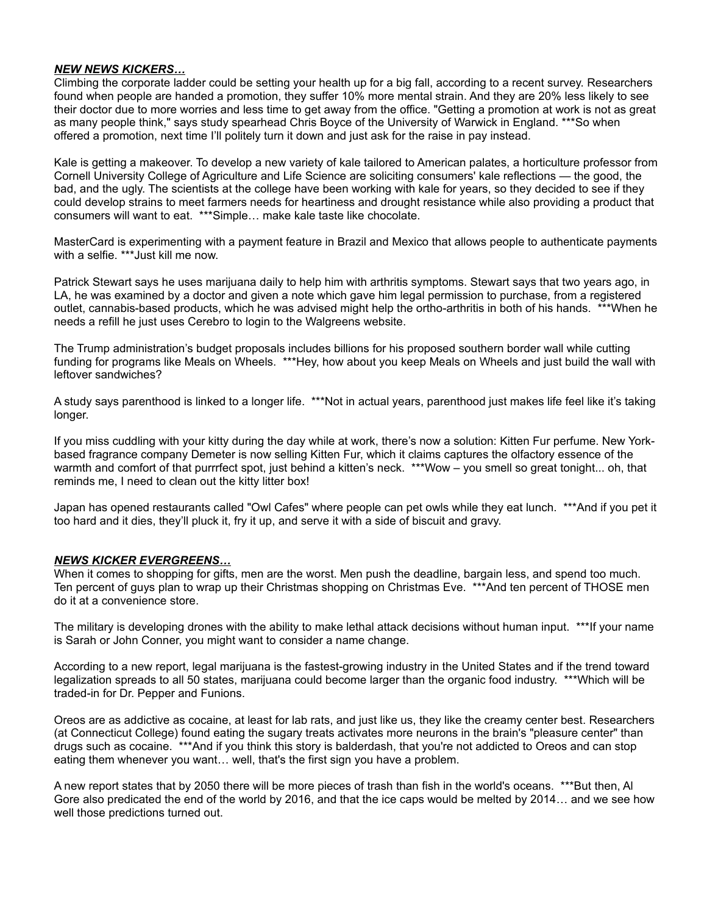## *NEW NEWS KICKERS…*

Climbing the corporate ladder could be setting your health up for a big fall, according to a recent survey. Researchers found when people are handed a promotion, they suffer 10% more mental strain. And they are 20% less likely to see their doctor due to more worries and less time to get away from the office. "Getting a promotion at work is not as great as many people think," says study spearhead Chris Boyce of the University of Warwick in England. \*\*\*So when offered a promotion, next time I'll politely turn it down and just ask for the raise in pay instead.

Kale is getting a makeover. To develop a new variety of kale tailored to American palates, a horticulture professor from Cornell University College of Agriculture and Life Science are soliciting consumers' kale reflections — the good, the bad, and the ugly. The scientists at the college have been working with kale for years, so they decided to see if they could develop strains to meet farmers needs for heartiness and drought resistance while also providing a product that consumers will want to eat. \*\*\*Simple… make kale taste like chocolate.

MasterCard is experimenting with a payment feature in Brazil and Mexico that allows people to authenticate payments with a selfie. \*\*\*Just kill me now.

Patrick Stewart says he uses marijuana daily to help him with arthritis symptoms. Stewart says that two years ago, in LA, he was examined by a doctor and given a note which gave him legal permission to purchase, from a registered outlet, cannabis-based products, which he was advised might help the ortho-arthritis in both of his hands. \*\*\*When he needs a refill he just uses Cerebro to login to the Walgreens website.

The Trump administration's budget proposals includes billions for his proposed southern border wall while cutting funding for programs like Meals on Wheels. \*\*\*Hey, how about you keep Meals on Wheels and just build the wall with leftover sandwiches?

A study says parenthood is linked to a longer life. \*\*\*Not in actual years, parenthood just makes life feel like it's taking longer.

If you miss cuddling with your kitty during the day while at work, there's now a solution: Kitten Fur perfume. New Yorkbased fragrance company Demeter is now selling Kitten Fur, which it claims captures the olfactory essence of the warmth and comfort of that purrrfect spot, just behind a kitten's neck. \*\*\*Wow – you smell so great tonight... oh, that reminds me, I need to clean out the kitty litter box!

Japan has opened restaurants called "Owl Cafes" where people can pet owls while they eat lunch. \*\*\*And if you pet it too hard and it dies, they'll pluck it, fry it up, and serve it with a side of biscuit and gravy.

### *NEWS KICKER EVERGREENS…*

When it comes to shopping for gifts, men are the worst. Men push the deadline, bargain less, and spend too much. Ten percent of guys plan to wrap up their Christmas shopping on Christmas Eve. \*\*\*And ten percent of THOSE men do it at a convenience store.

The military is developing drones with the ability to make lethal attack decisions without human input. \*\*\*If your name is Sarah or John Conner, you might want to consider a name change.

According to a new report, legal marijuana is the fastest-growing industry in the United States and if the trend toward legalization spreads to all 50 states, marijuana could become larger than the organic food industry. \*\*\*Which will be traded-in for Dr. Pepper and Funions.

Oreos are as addictive as cocaine, at least for lab rats, and just like us, they like the creamy center best. Researchers (at Connecticut College) found eating the sugary treats activates more neurons in the brain's "pleasure center" than drugs such as cocaine. \*\*\*And if you think this story is balderdash, that you're not addicted to Oreos and can stop eating them whenever you want… well, that's the first sign you have a problem.

A new report states that by 2050 there will be more pieces of trash than fish in the world's oceans. \*\*\*But then, Al Gore also predicated the end of the world by 2016, and that the ice caps would be melted by 2014… and we see how well those predictions turned out.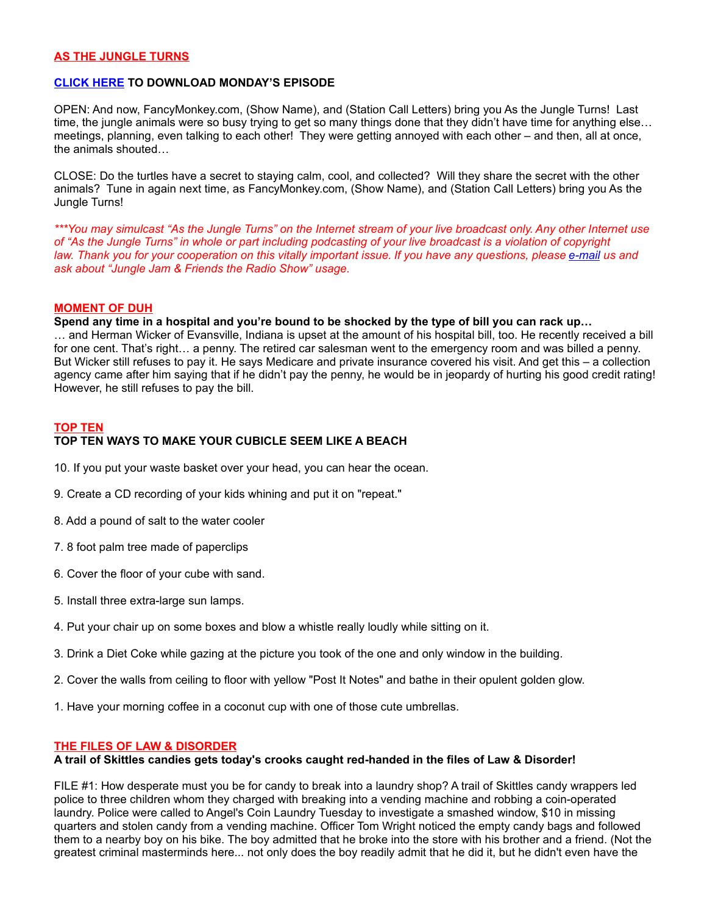# **AS THE JUNGLE TURNS**

### **[CLICK HERE](http://www.darrenmarlar.com/audio/AsTheJungleTurns/MMJJ0022.mp3) TO DOWNLOAD MONDAY'S EPISODE**

OPEN: And now, FancyMonkey.com, (Show Name), and (Station Call Letters) bring you As the Jungle Turns! Last time, the jungle animals were so busy trying to get so many things done that they didn't have time for anything else… meetings, planning, even talking to each other! They were getting annoyed with each other – and then, all at once, the animals shouted…

CLOSE: Do the turtles have a secret to staying calm, cool, and collected? Will they share the secret with the other animals? Tune in again next time, as FancyMonkey.com, (Show Name), and (Station Call Letters) bring you As the Jungle Turns!

*\*\*\*You may simulcast "As the Jungle Turns" on the Internet stream of your live broadcast only. Any other Internet use of "As the Jungle Turns" in whole or part including podcasting of your live broadcast is a violation of copyright law. Thank you for your cooperation on this vitally important issue. If you have any questions, please [e-mail](mailto:radio@fancymonkey.com?subject=Internet%20Use) us and ask about "Jungle Jam & Friends the Radio Show" usage.*

### **MOMENT OF DUH**

### **Spend any time in a hospital and you're bound to be shocked by the type of bill you can rack up…**

… and Herman Wicker of Evansville, Indiana is upset at the amount of his hospital bill, too. He recently received a bill for one cent. That's right… a penny. The retired car salesman went to the emergency room and was billed a penny. But Wicker still refuses to pay it. He says Medicare and private insurance covered his visit. And get this – a collection agency came after him saying that if he didn't pay the penny, he would be in jeopardy of hurting his good credit rating! However, he still refuses to pay the bill.

# **TOP TEN TOP TEN WAYS TO MAKE YOUR CUBICLE SEEM LIKE A BEACH**

- 10. If you put your waste basket over your head, you can hear the ocean.
- 9. Create a CD recording of your kids whining and put it on "repeat."
- 8. Add a pound of salt to the water cooler
- 7. 8 foot palm tree made of paperclips
- 6. Cover the floor of your cube with sand.
- 5. Install three extra-large sun lamps.
- 4. Put your chair up on some boxes and blow a whistle really loudly while sitting on it.
- 3. Drink a Diet Coke while gazing at the picture you took of the one and only window in the building.
- 2. Cover the walls from ceiling to floor with yellow "Post It Notes" and bathe in their opulent golden glow.
- 1. Have your morning coffee in a coconut cup with one of those cute umbrellas.

### **THE FILES OF LAW & DISORDER**

## **A trail of Skittles candies gets today's crooks caught red-handed in the files of Law & Disorder!**

FILE #1: How desperate must you be for candy to break into a laundry shop? A trail of Skittles candy wrappers led police to three children whom they charged with breaking into a vending machine and robbing a coin-operated laundry. Police were called to Angel's Coin Laundry Tuesday to investigate a smashed window, \$10 in missing quarters and stolen candy from a vending machine. Officer Tom Wright noticed the empty candy bags and followed them to a nearby boy on his bike. The boy admitted that he broke into the store with his brother and a friend. (Not the greatest criminal masterminds here... not only does the boy readily admit that he did it, but he didn't even have the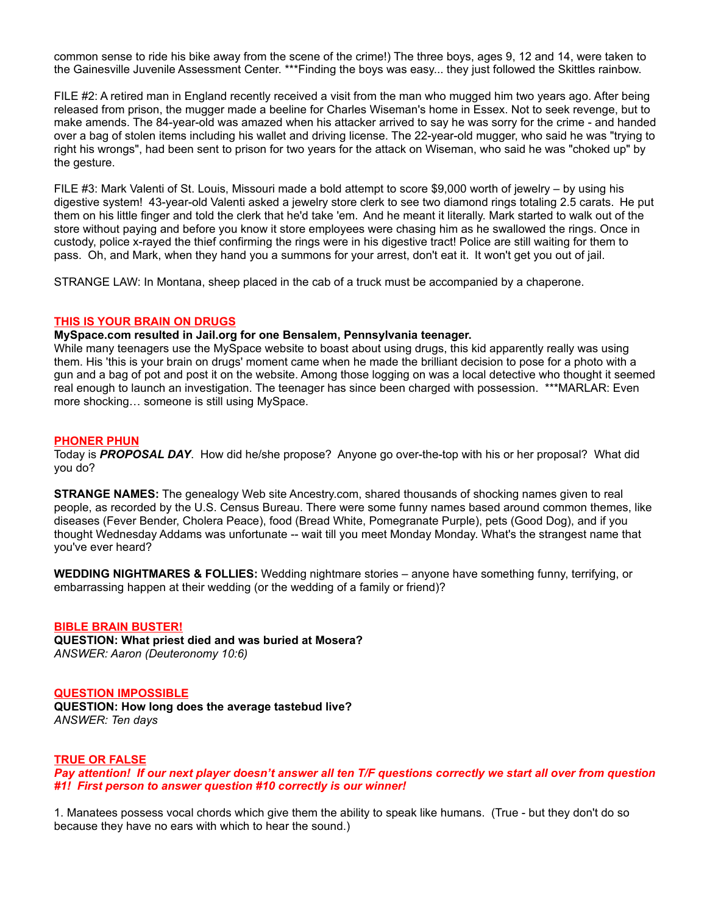common sense to ride his bike away from the scene of the crime!) The three boys, ages 9, 12 and 14, were taken to the Gainesville Juvenile Assessment Center. \*\*\*Finding the boys was easy... they just followed the Skittles rainbow.

FILE #2: A retired man in England recently received a visit from the man who mugged him two years ago. After being released from prison, the mugger made a beeline for Charles Wiseman's home in Essex. Not to seek revenge, but to make amends. The 84-year-old was amazed when his attacker arrived to say he was sorry for the crime - and handed over a bag of stolen items including his wallet and driving license. The 22-year-old mugger, who said he was "trying to right his wrongs", had been sent to prison for two years for the attack on Wiseman, who said he was "choked up" by the gesture.

FILE #3: Mark Valenti of St. Louis, Missouri made a bold attempt to score \$9,000 worth of jewelry – by using his digestive system! 43-year-old Valenti asked a jewelry store clerk to see two diamond rings totaling 2.5 carats. He put them on his little finger and told the clerk that he'd take 'em. And he meant it literally. Mark started to walk out of the store without paying and before you know it store employees were chasing him as he swallowed the rings. Once in custody, police x-rayed the thief confirming the rings were in his digestive tract! Police are still waiting for them to pass. Oh, and Mark, when they hand you a summons for your arrest, don't eat it. It won't get you out of jail.

STRANGE LAW: In Montana, sheep placed in the cab of a truck must be accompanied by a chaperone.

### **THIS IS YOUR BRAIN ON DRUGS**

#### **MySpace.com resulted in Jail.org for one Bensalem, Pennsylvania teenager.**

While many teenagers use the MySpace website to boast about using drugs, this kid apparently really was using them. His 'this is your brain on drugs' moment came when he made the brilliant decision to pose for a photo with a gun and a bag of pot and post it on the website. Among those logging on was a local detective who thought it seemed real enough to launch an investigation. The teenager has since been charged with possession. \*\*\*MARLAR: Even more shocking… someone is still using MySpace.

### **PHONER PHUN**

Today is *PROPOSAL DAY*. How did he/she propose? Anyone go over-the-top with his or her proposal? What did you do?

**STRANGE NAMES:** The genealogy Web site Ancestry.com, shared thousands of shocking names given to real people, as recorded by the U.S. Census Bureau. There were some funny names based around common themes, like diseases (Fever Bender, Cholera Peace), food (Bread White, Pomegranate Purple), pets (Good Dog), and if you thought Wednesday Addams was unfortunate -- wait till you meet Monday Monday. What's the strangest name that you've ever heard?

**WEDDING NIGHTMARES & FOLLIES:** Wedding nightmare stories – anyone have something funny, terrifying, or embarrassing happen at their wedding (or the wedding of a family or friend)?

#### **BIBLE BRAIN BUSTER!**

**QUESTION: What priest died and was buried at Mosera?** *ANSWER: Aaron (Deuteronomy 10:6)*

#### **QUESTION IMPOSSIBLE**

**QUESTION: How long does the average tastebud live?** *ANSWER: Ten days*

#### **TRUE OR FALSE**

*Pay attention! If our next player doesn't answer all ten T/F questions correctly we start all over from question #1! First person to answer question #10 correctly is our winner!*

1. Manatees possess vocal chords which give them the ability to speak like humans. (True - but they don't do so because they have no ears with which to hear the sound.)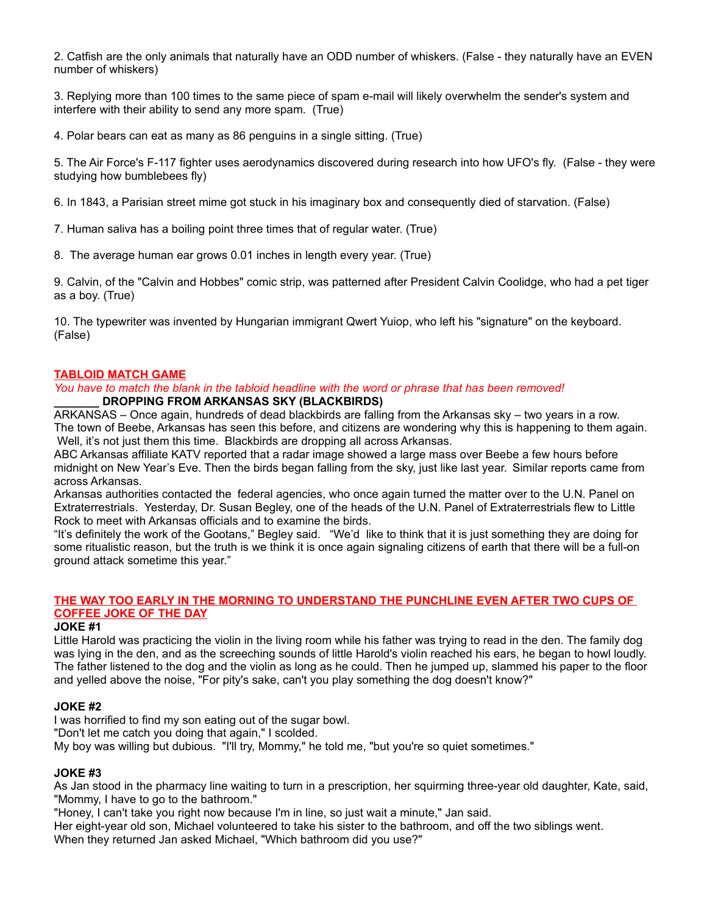2. Catfish are the only animals that naturally have an ODD number of whiskers. (False - they naturally have an EVEN number of whiskers)

3. Replying more than 100 times to the same piece of spam e-mail will likely overwhelm the sender's system and interfere with their ability to send any more spam. (True)

4. Polar bears can eat as many as 86 penguins in a single sitting. (True)

5. The Air Force's F-117 fighter uses aerodynamics discovered during research into how UFO's fly. (False - they were studying how bumblebees fly)

6. In 1843, a Parisian street mime got stuck in his imaginary box and consequently died of starvation. (False)

7. Human saliva has a boiling point three times that of regular water. (True)

8. The average human ear grows 0.01 inches in length every year. (True)

9. Calvin, of the "Calvin and Hobbes" comic strip, was patterned after President Calvin Coolidge, who had a pet tiger as a boy. (True)

10. The typewriter was invented by Hungarian immigrant Qwert Yuiop, who left his "signature" on the keyboard. (False)

## **TABLOID MATCH GAME**

#### *You have to match the blank in the tabloid headline with the word or phrase that has been removed!* **\_\_\_\_\_\_\_ DROPPING FROM ARKANSAS SKY (BLACKBIRDS)**

ARKANSAS – Once again, hundreds of dead blackbirds are falling from the Arkansas sky – two years in a row. The town of Beebe, Arkansas has seen this before, and citizens are wondering why this is happening to them again. Well, it's not just them this time. Blackbirds are dropping all across Arkansas.

ABC Arkansas affiliate KATV reported that a radar image showed a large mass over Beebe a few hours before midnight on New Year's Eve. Then the birds began falling from the sky, just like last year. Similar reports came from across Arkansas.

Arkansas authorities contacted the federal agencies, who once again turned the matter over to the U.N. Panel on Extraterrestrials. Yesterday, Dr. Susan Begley, one of the heads of the U.N. Panel of Extraterrestrials flew to Little Rock to meet with Arkansas officials and to examine the birds.

"It's definitely the work of the Gootans," Begley said. "We'd like to think that it is just something they are doing for some ritualistic reason, but the truth is we think it is once again signaling citizens of earth that there will be a full-on ground attack sometime this year."

# **THE WAY TOO EARLY IN THE MORNING TO UNDERSTAND THE PUNCHLINE EVEN AFTER TWO CUPS OF COFFEE JOKE OF THE DAY**

### **JOKE #1**

Little Harold was practicing the violin in the living room while his father was trying to read in the den. The family dog was lying in the den, and as the screeching sounds of little Harold's violin reached his ears, he began to howl loudly. The father listened to the dog and the violin as long as he could. Then he jumped up, slammed his paper to the floor and yelled above the noise, "For pity's sake, can't you play something the dog doesn't know?"

### **JOKE #2**

I was horrified to find my son eating out of the sugar bowl.

"Don't let me catch you doing that again," I scolded.

My boy was willing but dubious. "I'll try, Mommy," he told me, "but you're so quiet sometimes."

### **JOKE #3**

As Jan stood in the pharmacy line waiting to turn in a prescription, her squirming three-year old daughter, Kate, said, "Mommy, I have to go to the bathroom."

"Honey, I can't take you right now because I'm in line, so just wait a minute," Jan said.

Her eight-year old son, Michael volunteered to take his sister to the bathroom, and off the two siblings went. When they returned Jan asked Michael, "Which bathroom did you use?"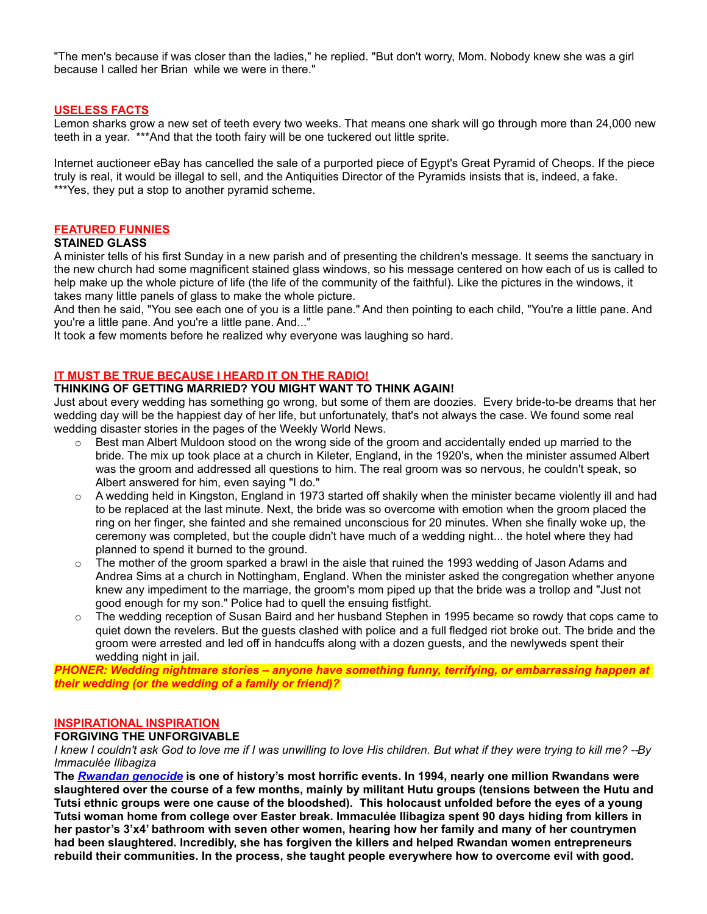"The men's because if was closer than the ladies," he replied. "But don't worry, Mom. Nobody knew she was a girl because I called her Brian while we were in there."

#### **USELESS FACTS**

Lemon sharks grow a new set of teeth every two weeks. That means one shark will go through more than 24,000 new teeth in a year. \*\*\*And that the tooth fairy will be one tuckered out little sprite.

Internet auctioneer eBay has cancelled the sale of a purported piece of Egypt's Great Pyramid of Cheops. If the piece truly is real, it would be illegal to sell, and the Antiquities Director of the Pyramids insists that is, indeed, a fake. \*\*\*Yes, they put a stop to another pyramid scheme.

#### **FEATURED FUNNIES**

## **STAINED GLASS**

A minister tells of his first Sunday in a new parish and of presenting the children's message. It seems the sanctuary in the new church had some magnificent stained glass windows, so his message centered on how each of us is called to help make up the whole picture of life (the life of the community of the faithful). Like the pictures in the windows, it takes many little panels of glass to make the whole picture.

And then he said, "You see each one of you is a little pane." And then pointing to each child, "You're a little pane. And you're a little pane. And you're a little pane. And..."

It took a few moments before he realized why everyone was laughing so hard.

# **IT MUST BE TRUE BECAUSE I HEARD IT ON THE RADIO!**

#### **THINKING OF GETTING MARRIED? YOU MIGHT WANT TO THINK AGAIN!**

Just about every wedding has something go wrong, but some of them are doozies. Every bride-to-be dreams that her wedding day will be the happiest day of her life, but unfortunately, that's not always the case. We found some real wedding disaster stories in the pages of the Weekly World News.

- $\circ$  Best man Albert Muldoon stood on the wrong side of the groom and accidentally ended up married to the bride. The mix up took place at a church in Kileter, England, in the 1920's, when the minister assumed Albert was the groom and addressed all questions to him. The real groom was so nervous, he couldn't speak, so Albert answered for him, even saying "I do."
- $\circ$  A wedding held in Kingston, England in 1973 started off shakily when the minister became violently ill and had to be replaced at the last minute. Next, the bride was so overcome with emotion when the groom placed the ring on her finger, she fainted and she remained unconscious for 20 minutes. When she finally woke up, the ceremony was completed, but the couple didn't have much of a wedding night... the hotel where they had planned to spend it burned to the ground.
- The mother of the groom sparked a brawl in the aisle that ruined the 1993 wedding of Jason Adams and Andrea Sims at a church in Nottingham, England. When the minister asked the congregation whether anyone knew any impediment to the marriage, the groom's mom piped up that the bride was a trollop and "Just not good enough for my son." Police had to quell the ensuing fistfight.
- $\circ$  The wedding reception of Susan Baird and her husband Stephen in 1995 became so rowdy that cops came to quiet down the revelers. But the guests clashed with police and a full fledged riot broke out. The bride and the groom were arrested and led off in handcuffs along with a dozen guests, and the newlyweds spent their wedding night in jail.

*PHONER: Wedding nightmare stories – anyone have something funny, terrifying, or embarrassing happen at their wedding (or the wedding of a family or friend)?*

# **INSPIRATIONAL INSPIRATION**

## **FORGIVING THE UNFORGIVABLE**

*I knew I couldn't ask God to love me if I was unwilling to love His children. But what if they were trying to kill me? --By Immaculée Ilibagiza*

**The** *[Rwandan genocide](http://en.wikipedia.org/wiki/Rwandan_Genocide)* **is one of history's most horrific events. In 1994, nearly one million Rwandans were slaughtered over the course of a few months, mainly by militant Hutu groups (tensions between the Hutu and Tutsi ethnic groups were one cause of the bloodshed). This holocaust unfolded before the eyes of a young Tutsi woman home from college over Easter break. Immaculée Ilibagiza spent 90 days hiding from killers in her pastor's 3'x4' bathroom with seven other women, hearing how her family and many of her countrymen had been slaughtered. Incredibly, she has forgiven the killers and helped Rwandan women entrepreneurs rebuild their communities. In the process, she taught people everywhere how to overcome evil with good.**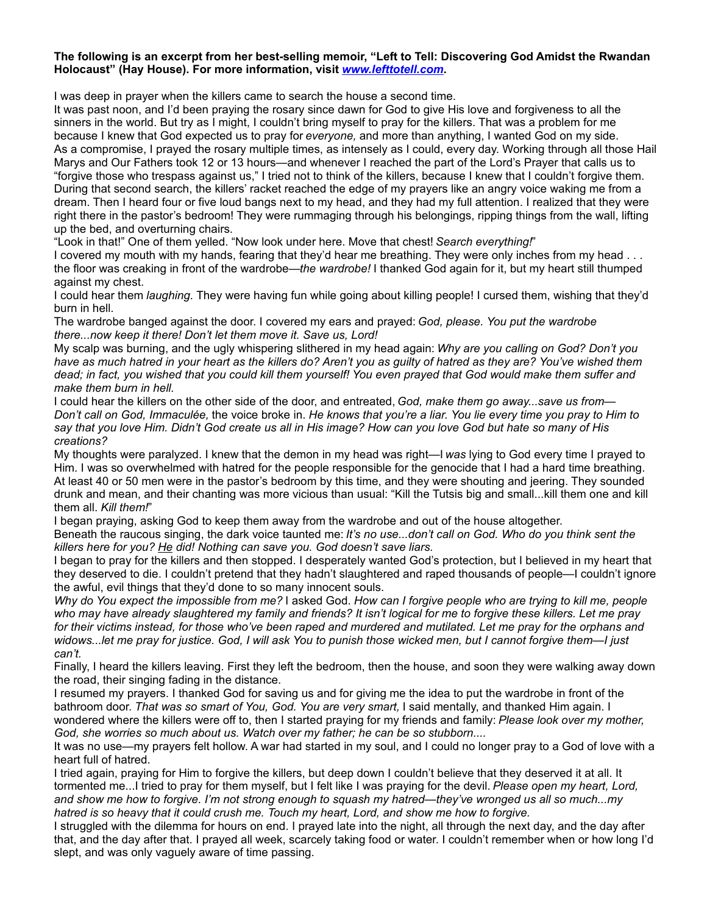### **The following is an excerpt from her best-selling memoir, "Left to Tell: Discovering God Amidst the Rwandan Holocaust" (Hay House). For more information, visit** *[www.lefttotell.com](http://www.lefttotell.com/)***.**

I was deep in prayer when the killers came to search the house a second time.

It was past noon, and I'd been praying the rosary since dawn for God to give His love and forgiveness to all the sinners in the world. But try as I might, I couldn't bring myself to pray for the killers. That was a problem for me because I knew that God expected us to pray for *everyone,* and more than anything, I wanted God on my side. As a compromise, I prayed the rosary multiple times, as intensely as I could, every day. Working through all those Hail Marys and Our Fathers took 12 or 13 hours—and whenever I reached the part of the Lord's Prayer that calls us to "forgive those who trespass against us," I tried not to think of the killers, because I knew that I couldn't forgive them. During that second search, the killers' racket reached the edge of my prayers like an angry voice waking me from a dream. Then I heard four or five loud bangs next to my head, and they had my full attention. I realized that they were right there in the pastor's bedroom! They were rummaging through his belongings, ripping things from the wall, lifting up the bed, and overturning chairs.

"Look in that!" One of them yelled. "Now look under here. Move that chest! *Search everything!*"

I covered my mouth with my hands, fearing that they'd hear me breathing. They were only inches from my head ... the floor was creaking in front of the wardrobe—*the wardrobe!* I thanked God again for it, but my heart still thumped against my chest.

I could hear them *laughing.* They were having fun while going about killing people! I cursed them, wishing that they'd burn in hell.

The wardrobe banged against the door. I covered my ears and prayed: *God, please. You put the wardrobe there...now keep it there! Don't let them move it. Save us, Lord!*

My scalp was burning, and the ugly whispering slithered in my head again: *Why are you calling on God? Don't you have as much hatred in your heart as the killers do? Aren't you as guilty of hatred as they are? You've wished them dead; in fact, you wished that you could kill them yourself! You even prayed that God would make them suffer and make them burn in hell.*

I could hear the killers on the other side of the door, and entreated, *God, make them go away...save us from— Don't call on God, Immaculée,* the voice broke in. *He knows that you're a liar. You lie every time you pray to Him to say that you love Him. Didn't God create us all in His image? How can you love God but hate so many of His creations?*

My thoughts were paralyzed. I knew that the demon in my head was right—I *was* lying to God every time I prayed to Him. I was so overwhelmed with hatred for the people responsible for the genocide that I had a hard time breathing. At least 40 or 50 men were in the pastor's bedroom by this time, and they were shouting and jeering. They sounded drunk and mean, and their chanting was more vicious than usual: "Kill the Tutsis big and small...kill them one and kill them all. *Kill them!*"

I began praying, asking God to keep them away from the wardrobe and out of the house altogether.

Beneath the raucous singing, the dark voice taunted me: *It's no use...don't call on God. Who do you think sent the killers here for you? He did! Nothing can save you. God doesn't save liars.*

I began to pray for the killers and then stopped. I desperately wanted God's protection, but I believed in my heart that they deserved to die. I couldn't pretend that they hadn't slaughtered and raped thousands of people—I couldn't ignore the awful, evil things that they'd done to so many innocent souls.

*Why do You expect the impossible from me?* I asked God. *How can I forgive people who are trying to kill me, people who may have already slaughtered my family and friends? It isn't logical for me to forgive these killers. Let me pray*  for their victims instead, for those who've been raped and murdered and mutilated. Let me pray for the orphans and *widows...let me pray for justice. God, I will ask You to punish those wicked men, but I cannot forgive them—I just can't.*

Finally, I heard the killers leaving. First they left the bedroom, then the house, and soon they were walking away down the road, their singing fading in the distance.

I resumed my prayers. I thanked God for saving us and for giving me the idea to put the wardrobe in front of the bathroom door. *That was so smart of You, God. You are very smart,* I said mentally, and thanked Him again. I wondered where the killers were off to, then I started praying for my friends and family: *Please look over my mother, God, she worries so much about us. Watch over my father; he can be so stubborn....*

It was no use—my prayers felt hollow. A war had started in my soul, and I could no longer pray to a God of love with a heart full of hatred.

I tried again, praying for Him to forgive the killers, but deep down I couldn't believe that they deserved it at all. It tormented me...I tried to pray for them myself, but I felt like I was praying for the devil. *Please open my heart, Lord, and show me how to forgive. I'm not strong enough to squash my hatred—they've wronged us all so much...my hatred is so heavy that it could crush me. Touch my heart, Lord, and show me how to forgive.*

I struggled with the dilemma for hours on end. I prayed late into the night, all through the next day, and the day after that, and the day after that. I prayed all week, scarcely taking food or water. I couldn't remember when or how long I'd slept, and was only vaguely aware of time passing.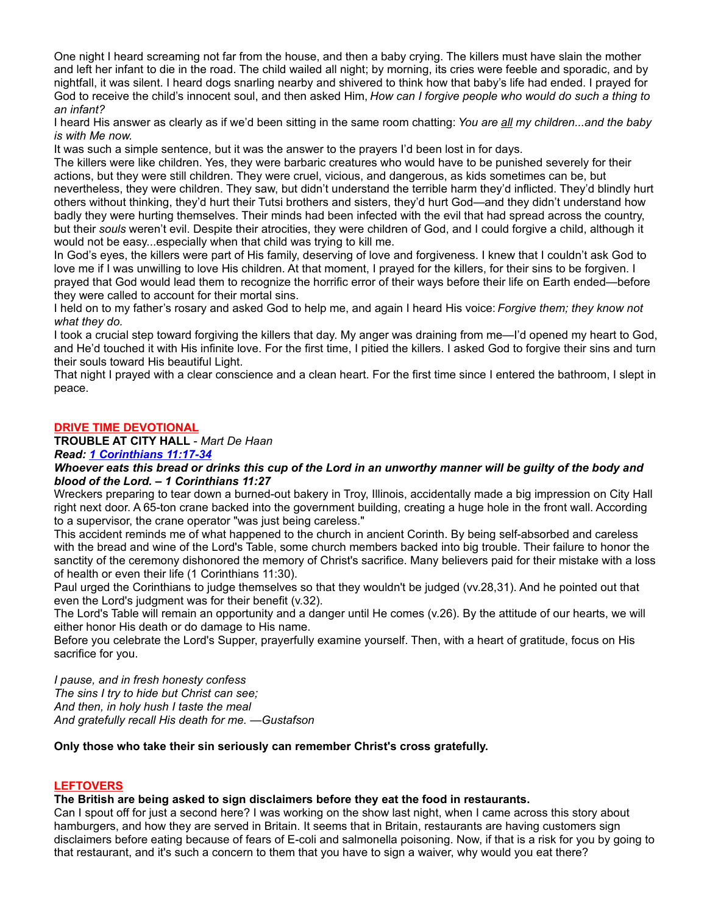One night I heard screaming not far from the house, and then a baby crying. The killers must have slain the mother and left her infant to die in the road. The child wailed all night; by morning, its cries were feeble and sporadic, and by nightfall, it was silent. I heard dogs snarling nearby and shivered to think how that baby's life had ended. I prayed for God to receive the child's innocent soul, and then asked Him, *How can I forgive people who would do such a thing to an infant?*

I heard His answer as clearly as if we'd been sitting in the same room chatting: *You are all my children...and the baby is with Me now.*

It was such a simple sentence, but it was the answer to the prayers I'd been lost in for days.

The killers were like children. Yes, they were barbaric creatures who would have to be punished severely for their actions, but they were still children. They were cruel, vicious, and dangerous, as kids sometimes can be, but nevertheless, they were children. They saw, but didn't understand the terrible harm they'd inflicted. They'd blindly hurt others without thinking, they'd hurt their Tutsi brothers and sisters, they'd hurt God—and they didn't understand how badly they were hurting themselves. Their minds had been infected with the evil that had spread across the country, but their *souls* weren't evil. Despite their atrocities, they were children of God, and I could forgive a child, although it would not be easy...especially when that child was trying to kill me.

In God's eyes, the killers were part of His family, deserving of love and forgiveness. I knew that I couldn't ask God to love me if I was unwilling to love His children. At that moment, I prayed for the killers, for their sins to be forgiven. I prayed that God would lead them to recognize the horrific error of their ways before their life on Earth ended—before they were called to account for their mortal sins.

I held on to my father's rosary and asked God to help me, and again I heard His voice: *Forgive them; they know not what they do.*

I took a crucial step toward forgiving the killers that day. My anger was draining from me—I'd opened my heart to God, and He'd touched it with His infinite love. For the first time, I pitied the killers. I asked God to forgive their sins and turn their souls toward His beautiful Light.

That night I prayed with a clear conscience and a clean heart. For the first time since I entered the bathroom, I slept in peace.

### **DRIVE TIME DEVOTIONAL**

**TROUBLE AT CITY HALL** - *Mart De Haan*

*Read: [1 Corinthians 11:17-34](http://bible.gospelcom.net/bible?language=english&version=NIV&passage=1+Corinthians+11:17-34)*

### *Whoever eats this bread or drinks this cup of the Lord in an unworthy manner will be guilty of the body and blood of the Lord. – 1 Corinthians 11:27*

Wreckers preparing to tear down a burned-out bakery in Troy, Illinois, accidentally made a big impression on City Hall right next door. A 65-ton crane backed into the government building, creating a huge hole in the front wall. According to a supervisor, the crane operator "was just being careless."

This accident reminds me of what happened to the church in ancient Corinth. By being self-absorbed and careless with the bread and wine of the Lord's Table, some church members backed into big trouble. Their failure to honor the sanctity of the ceremony dishonored the memory of Christ's sacrifice. Many believers paid for their mistake with a loss of health or even their life (1 Corinthians 11:30).

Paul urged the Corinthians to judge themselves so that they wouldn't be judged (vv.28,31). And he pointed out that even the Lord's judgment was for their benefit (v.32).

The Lord's Table will remain an opportunity and a danger until He comes (v.26). By the attitude of our hearts, we will either honor His death or do damage to His name.

Before you celebrate the Lord's Supper, prayerfully examine yourself. Then, with a heart of gratitude, focus on His sacrifice for you.

*I pause, and in fresh honesty confess The sins I try to hide but Christ can see; And then, in holy hush I taste the meal And gratefully recall His death for me. —Gustafson*

# **Only those who take their sin seriously can remember Christ's cross gratefully.**

### **LEFTOVERS**

# **The British are being asked to sign disclaimers before they eat the food in restaurants.**

Can I spout off for just a second here? I was working on the show last night, when I came across this story about hamburgers, and how they are served in Britain. It seems that in Britain, restaurants are having customers sign disclaimers before eating because of fears of E-coli and salmonella poisoning. Now, if that is a risk for you by going to that restaurant, and it's such a concern to them that you have to sign a waiver, why would you eat there?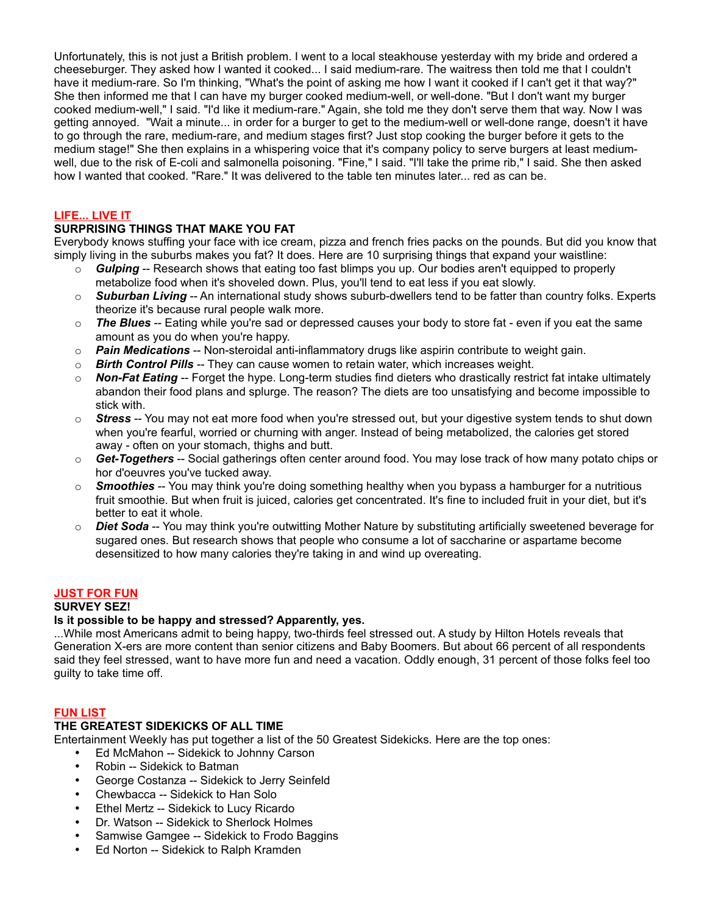Unfortunately, this is not just a British problem. I went to a local steakhouse yesterday with my bride and ordered a cheeseburger. They asked how I wanted it cooked... I said medium-rare. The waitress then told me that I couldn't have it medium-rare. So I'm thinking, "What's the point of asking me how I want it cooked if I can't get it that way?" She then informed me that I can have my burger cooked medium-well, or well-done. "But I don't want my burger cooked medium-well," I said. "I'd like it medium-rare." Again, she told me they don't serve them that way. Now I was getting annoyed. "Wait a minute... in order for a burger to get to the medium-well or well-done range, doesn't it have to go through the rare, medium-rare, and medium stages first? Just stop cooking the burger before it gets to the medium stage!" She then explains in a whispering voice that it's company policy to serve burgers at least mediumwell, due to the risk of E-coli and salmonella poisoning. "Fine," I said. "I'll take the prime rib," I said. She then asked how I wanted that cooked. "Rare." It was delivered to the table ten minutes later... red as can be.

# **LIFE... LIVE IT**

# **SURPRISING THINGS THAT MAKE YOU FAT**

Everybody knows stuffing your face with ice cream, pizza and french fries packs on the pounds. But did you know that simply living in the suburbs makes you fat? It does. Here are 10 surprising things that expand your waistline:

- o *Gulping* -- Research shows that eating too fast blimps you up. Our bodies aren't equipped to properly metabolize food when it's shoveled down. Plus, you'll tend to eat less if you eat slowly.
- o *Suburban Living* -- An international study shows suburb-dwellers tend to be fatter than country folks. Experts theorize it's because rural people walk more.
- o *The Blues* -- Eating while you're sad or depressed causes your body to store fat even if you eat the same amount as you do when you're happy.
- o *Pain Medications* -- Non-steroidal anti-inflammatory drugs like aspirin contribute to weight gain.
- o *Birth Control Pills* -- They can cause women to retain water, which increases weight.
- o *Non-Fat Eating* -- Forget the hype. Long-term studies find dieters who drastically restrict fat intake ultimately abandon their food plans and splurge. The reason? The diets are too unsatisfying and become impossible to stick with.
- o *Stress* -- You may not eat more food when you're stressed out, but your digestive system tends to shut down when you're fearful, worried or churning with anger. Instead of being metabolized, the calories get stored away - often on your stomach, thighs and butt.
- o *Get-Togethers* -- Social gatherings often center around food. You may lose track of how many potato chips or hor d'oeuvres you've tucked away.
- o *Smoothies* -- You may think you're doing something healthy when you bypass a hamburger for a nutritious fruit smoothie. But when fruit is juiced, calories get concentrated. It's fine to included fruit in your diet, but it's better to eat it whole.
- o *Diet Soda* -- You may think you're outwitting Mother Nature by substituting artificially sweetened beverage for sugared ones. But research shows that people who consume a lot of saccharine or aspartame become desensitized to how many calories they're taking in and wind up overeating.

# **JUST FOR FUN**

### **SURVEY SEZ!**

### **Is it possible to be happy and stressed? Apparently, yes.**

...While most Americans admit to being happy, two-thirds feel stressed out. A study by Hilton Hotels reveals that Generation X-ers are more content than senior citizens and Baby Boomers. But about 66 percent of all respondents said they feel stressed, want to have more fun and need a vacation. Oddly enough, 31 percent of those folks feel too guilty to take time off.

### **FUN LIST**

# **THE GREATEST SIDEKICKS OF ALL TIME**

Entertainment Weekly has put together a list of the 50 Greatest Sidekicks. Here are the top ones:

- Ed McMahon -- Sidekick to Johnny Carson
	- Robin -- Sidekick to Batman
	- George Costanza -- Sidekick to Jerry Seinfeld
	- Chewbacca -- Sidekick to Han Solo
- Ethel Mertz -- Sidekick to Lucy Ricardo
- Dr. Watson -- Sidekick to Sherlock Holmes
- Samwise Gamgee -- Sidekick to Frodo Baggins
- Ed Norton -- Sidekick to Ralph Kramden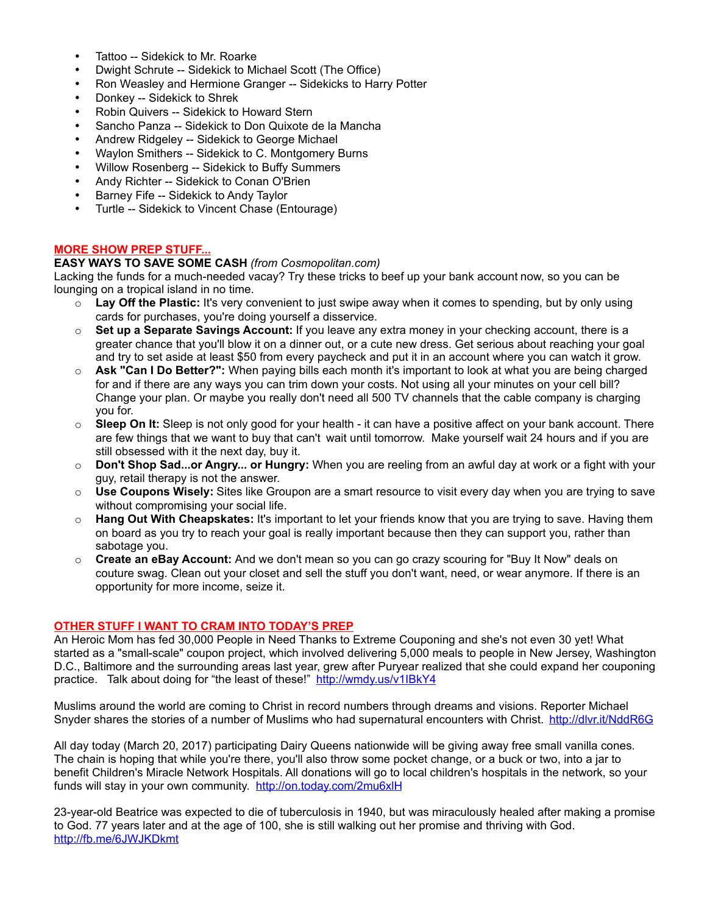- Tattoo -- Sidekick to Mr. Roarke
- Dwight Schrute -- Sidekick to Michael Scott (The Office)
- Ron Weasley and Hermione Granger -- Sidekicks to Harry Potter
- Donkey -- Sidekick to Shrek
- Robin Quivers -- Sidekick to Howard Stern
- Sancho Panza -- Sidekick to Don Quixote de la Mancha
- Andrew Ridgeley -- Sidekick to George Michael
- Waylon Smithers -- Sidekick to C. Montgomery Burns
- Willow Rosenberg -- Sidekick to Buffy Summers
- Andy Richter -- Sidekick to Conan O'Brien
- Barney Fife -- Sidekick to Andy Taylor
- Turtle -- Sidekick to Vincent Chase (Entourage)

## **MORE SHOW PREP STUFF...**

### **EASY WAYS TO SAVE SOME CASH** *(from Cosmopolitan.com)*

Lacking the funds for a much-needed vacay? Try these tricks to beef up your bank account now, so you can be lounging on a tropical island in no time.

- o **Lay Off the Plastic:** It's very convenient to just swipe away when it comes to spending, but by only using cards for purchases, you're doing yourself a disservice.
- o **Set up a Separate Savings Account:** If you leave any extra money in your checking account, there is a greater chance that you'll blow it on a dinner out, or a cute new dress. Get serious about reaching your goal and try to set aside at least \$50 from every paycheck and put it in an account where you can watch it grow.
- o **Ask "Can I Do Better?":** When paying bills each month it's important to look at what you are being charged for and if there are any ways you can trim down your costs. Not using all your minutes on your cell bill? Change your plan. Or maybe you really don't need all 500 TV channels that the cable company is charging you for.
- o **Sleep On It:** Sleep is not only good for your health it can have a positive affect on your bank account. There are few things that we want to buy that can't wait until tomorrow. Make yourself wait 24 hours and if you are still obsessed with it the next day, buy it.
- o **Don't Shop Sad...or Angry... or Hungry:** When you are reeling from an awful day at work or a fight with your guy, retail therapy is not the answer.
- o **Use Coupons Wisely:** Sites like Groupon are a smart resource to visit every day when you are trying to save without compromising your social life.
- o **Hang Out With Cheapskates:** It's important to let your friends know that you are trying to save. Having them on board as you try to reach your goal is really important because then they can support you, rather than sabotage you.
- o **Create an eBay Account:** And we don't mean so you can go crazy scouring for "Buy It Now" deals on couture swag. Clean out your closet and sell the stuff you don't want, need, or wear anymore. If there is an opportunity for more income, seize it.

### **OTHER STUFF I WANT TO CRAM INTO TODAY'S PREP**

An Heroic Mom has fed 30,000 People in Need Thanks to Extreme Couponing and she's not even 30 yet! What started as a "small-scale" coupon project, which involved delivering 5,000 meals to people in New Jersey, Washington D.C., Baltimore and the surrounding areas last year, grew after Puryear realized that she could expand her couponing practice. Talk about doing for "the least of these!" <http://wmdy.us/v1IBkY4>

Muslims around the world are coming to Christ in record numbers through dreams and visions. Reporter Michael Snyder shares the stories of a number of Muslims who had supernatural encounters with Christ. <http://dlvr.it/NddR6G>

All day today (March 20, 2017) participating Dairy Queens nationwide will be giving away free small vanilla cones. The chain is hoping that while you're there, you'll also throw some pocket change, or a buck or two, into a jar to benefit Children's Miracle Network Hospitals. All donations will go to local children's hospitals in the network, so your funds will stay in your own community. <http://on.today.com/2mu6xlH>

23-year-old Beatrice was expected to die of tuberculosis in 1940, but was miraculously healed after making a promise to God. 77 years later and at the age of 100, she is still walking out her promise and thriving with God. <http://fb.me/6JWJKDkmt>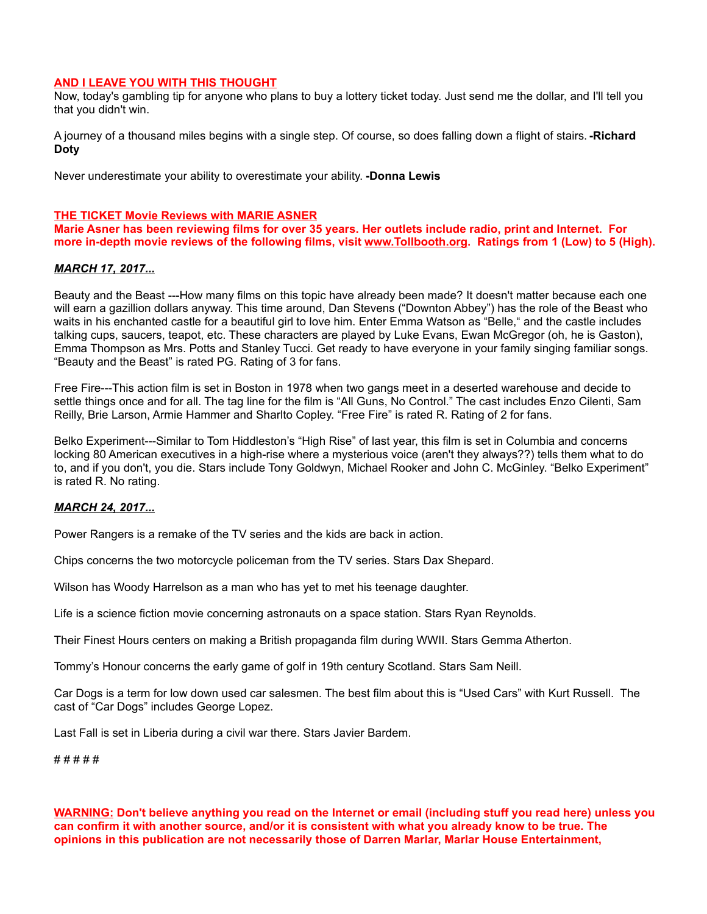### **AND I LEAVE YOU WITH THIS THOUGHT**

Now, today's gambling tip for anyone who plans to buy a lottery ticket today. Just send me the dollar, and I'll tell you that you didn't win.

A journey of a thousand miles begins with a single step. Of course, so does falling down a flight of stairs. **-Richard Doty**

Never underestimate your ability to overestimate your ability. **-Donna Lewis**

## **THE TICKET Movie Reviews with MARIE ASNER**

**Marie Asner has been reviewing films for over 35 years. Her outlets include radio, print and Internet. For more in-depth movie reviews of the following films, visit [www.Tollbooth.org.](http://www.tollbooth.org/index.php/home/movie-reviews) Ratings from 1 (Low) to 5 (High).**

## *MARCH 17, 2017...*

Beauty and the Beast ---How many films on this topic have already been made? It doesn't matter because each one will earn a gazillion dollars anyway. This time around, Dan Stevens ("Downton Abbey") has the role of the Beast who waits in his enchanted castle for a beautiful girl to love him. Enter Emma Watson as "Belle," and the castle includes talking cups, saucers, teapot, etc. These characters are played by Luke Evans, Ewan McGregor (oh, he is Gaston), Emma Thompson as Mrs. Potts and Stanley Tucci. Get ready to have everyone in your family singing familiar songs. "Beauty and the Beast" is rated PG. Rating of 3 for fans.

Free Fire---This action film is set in Boston in 1978 when two gangs meet in a deserted warehouse and decide to settle things once and for all. The tag line for the film is "All Guns, No Control." The cast includes Enzo Cilenti, Sam Reilly, Brie Larson, Armie Hammer and Sharlto Copley. "Free Fire" is rated R. Rating of 2 for fans.

Belko Experiment---Similar to Tom Hiddleston's "High Rise" of last year, this film is set in Columbia and concerns locking 80 American executives in a high-rise where a mysterious voice (aren't they always??) tells them what to do to, and if you don't, you die. Stars include Tony Goldwyn, Michael Rooker and John C. McGinley. "Belko Experiment" is rated R. No rating.

# *MARCH 24, 2017...*

Power Rangers is a remake of the TV series and the kids are back in action.

Chips concerns the two motorcycle policeman from the TV series. Stars Dax Shepard.

Wilson has Woody Harrelson as a man who has yet to met his teenage daughter.

Life is a science fiction movie concerning astronauts on a space station. Stars Ryan Reynolds.

Their Finest Hours centers on making a British propaganda film during WWII. Stars Gemma Atherton.

Tommy's Honour concerns the early game of golf in 19th century Scotland. Stars Sam Neill.

Car Dogs is a term for low down used car salesmen. The best film about this is "Used Cars" with Kurt Russell. The cast of "Car Dogs" includes George Lopez.

Last Fall is set in Liberia during a civil war there. Stars Javier Bardem.

# # # # #

**WARNING: Don't believe anything you read on the Internet or email (including stuff you read here) unless you can confirm it with another source, and/or it is consistent with what you already know to be true. The opinions in this publication are not necessarily those of Darren Marlar, Marlar House Entertainment,**